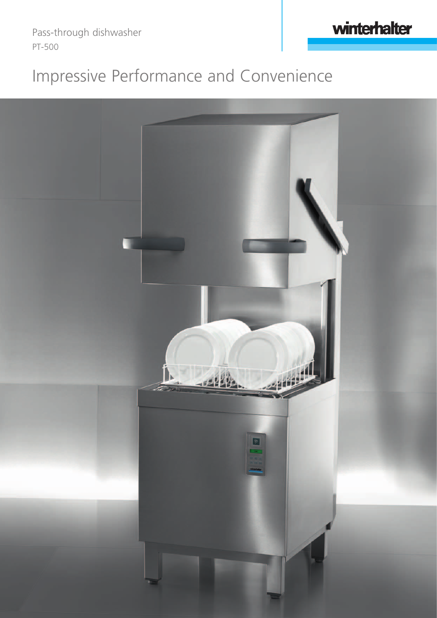Pass-through dishwasher PT-500

# Impressive Performance and Convenience

winterhalter

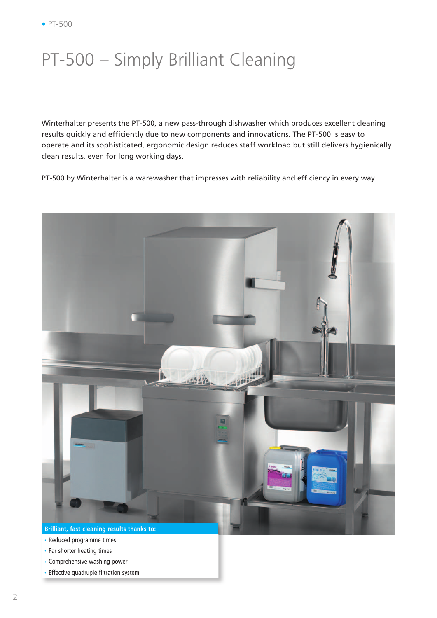### PT-500 – Simply Brilliant Cleaning

Winterhalter presents the PT-500, a new pass-through dishwasher which produces excellent cleaning results quickly and efficiently due to new components and innovations. The PT-500 is easy to operate and its sophisticated, ergonomic design reduces staff workload but still delivers hygienically clean results, even for long working days.

PT-500 by Winterhalter is a warewasher that impresses with reliability and efficiency in every way.



- Reduced programme times
- Far shorter heating times
- Comprehensive washing power
- Effective quadruple filtration system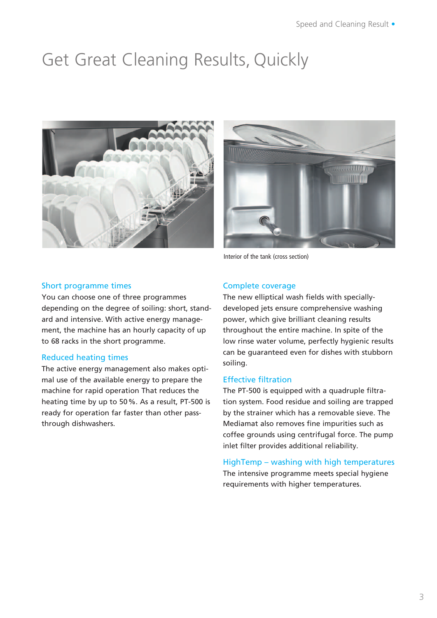## Get Great Cleaning Results, Quickly





Interior of the tank (cross section)

#### Short programme times

You can choose one of three programmes depending on the degree of soiling: short, standard and intensive. With active energy management, the machine has an hourly capacity of up to 68 racks in the short programme.

#### Reduced heating times

The active energy management also makes optimal use of the available energy to prepare the machine for rapid operation That reduces the heating time by up to 50 %. As a result, PT-500 is ready for operation far faster than other passthrough dishwashers.

#### Complete coverage

The new elliptical wash fields with speciallydeveloped jets ensure comprehensive washing power, which give brilliant cleaning results throughout the entire machine. In spite of the low rinse water volume, perfectly hygienic results can be guaranteed even for dishes with stubborn soiling.

#### Effective filtration

The PT-500 is equipped with a quadruple filtration system. Food residue and soiling are trapped by the strainer which has a removable sieve. The Mediamat also removes fine impurities such as coffee grounds using centrifugal force. The pump inlet filter provides additional reliability.

HighTemp – washing with high temperatures The intensive programme meets special hygiene requirements with higher temperatures.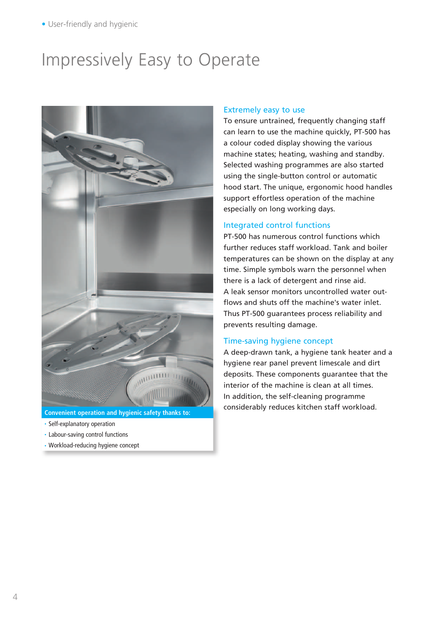### Impressively Easy to Operate



- Self-explanatory operation
- Labour-saving control functions
- Workload-reducing hygiene concept

#### Extremely easy to use

To ensure untrained, frequently changing staff can learn to use the machine quickly, PT-500 has a colour coded display showing the various machine states; heating, washing and standby. Selected washing programmes are also started using the single-button control or automatic hood start. The unique, ergonomic hood handles support effortless operation of the machine especially on long working days.

#### Integrated control functions

PT-500 has numerous control functions which further reduces staff workload. Tank and boiler temperatures can be shown on the display at any time. Simple symbols warn the personnel when there is a lack of detergent and rinse aid. A leak sensor monitors uncontrolled water outflows and shuts off the machine's water inlet. Thus PT-500 guarantees process reliability and prevents resulting damage.

#### Time-saving hygiene concept

A deep-drawn tank, a hygiene tank heater and a hygiene rear panel prevent limescale and dirt deposits. These components guarantee that the interior of the machine is clean at all times. In addition, the self-cleaning programme considerably reduces kitchen staff workload. **Convenient operation and hygienic safety thanks to:**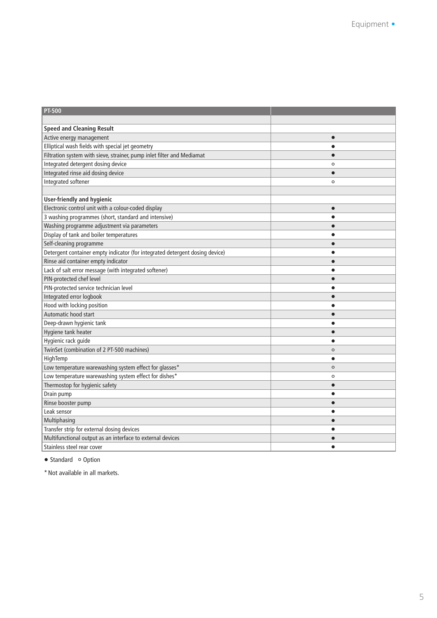| <b>PT-500</b>                                                                |           |
|------------------------------------------------------------------------------|-----------|
|                                                                              |           |
| <b>Speed and Cleaning Result</b>                                             |           |
| Active energy management                                                     | $\bullet$ |
| Elliptical wash fields with special jet geometry                             | $\bullet$ |
| Filtration system with sieve, strainer, pump inlet filter and Mediamat       | $\bullet$ |
| Integrated detergent dosing device                                           | $\circ$   |
| Integrated rinse aid dosing device                                           | $\bullet$ |
| Integrated softener                                                          | $\circ$   |
|                                                                              |           |
| <b>User-friendly and hygienic</b>                                            |           |
| Electronic control unit with a colour-coded display                          | $\bullet$ |
| 3 washing programmes (short, standard and intensive)                         |           |
| Washing programme adjustment via parameters                                  | $\bullet$ |
| Display of tank and boiler temperatures                                      | $\bullet$ |
| Self-cleaning programme                                                      | $\bullet$ |
| Detergent container empty indicator (for integrated detergent dosing device) | $\bullet$ |
| Rinse aid container empty indicator                                          | $\bullet$ |
| Lack of salt error message (with integrated softener)                        | $\bullet$ |
| PIN-protected chef level                                                     | $\bullet$ |
| PIN-protected service technician level                                       | $\bullet$ |
| Integrated error logbook                                                     |           |
| Hood with locking position                                                   |           |
| Automatic hood start                                                         | $\bullet$ |
| Deep-drawn hygienic tank                                                     |           |
| Hygiene tank heater                                                          | $\bullet$ |
| Hygienic rack guide                                                          | $\bullet$ |
| TwinSet (combination of 2 PT-500 machines)                                   | $\circ$   |
| HighTemp                                                                     | $\bullet$ |
| Low temperature warewashing system effect for glasses*                       | $\circ$   |
| Low temperature warewashing system effect for dishes*                        | $\circ$   |
| Thermostop for hygienic safety                                               | $\bullet$ |
| Drain pump                                                                   | $\bullet$ |
| Rinse booster pump                                                           |           |
| Leak sensor                                                                  | $\bullet$ |
| Multiphasing                                                                 | $\bullet$ |
| Transfer strip for external dosing devices                                   |           |
| Multifunctional output as an interface to external devices                   |           |
| Stainless steel rear cover                                                   | $\bullet$ |

• Standard • Option

\* Not available in all markets.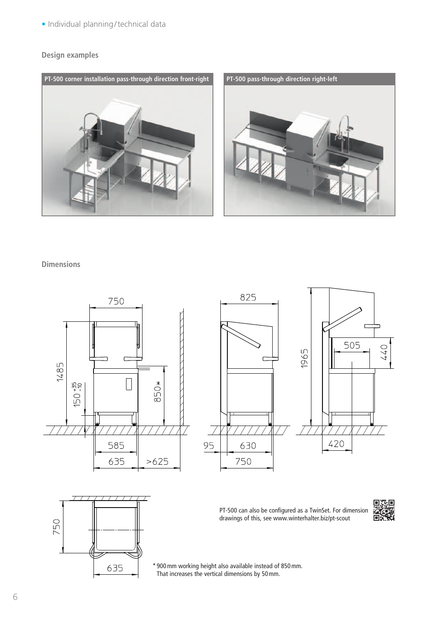• Individual planning / technical data

#### **Design examples**



#### **Dimensions**







PT-500 can also be configured as a TwinSet. For dimension drawings of this, see www.winterhalter.biz/pt-scout



\* 900 mm working height also available instead of 850 mm. That increases the vertical dimensions by 50 mm.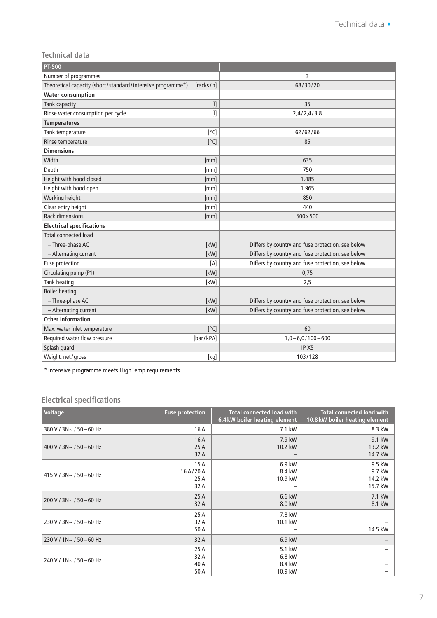#### **Technical data**

| <b>PT-500</b>                                              |                                                                                                                                                               |                                                   |  |
|------------------------------------------------------------|---------------------------------------------------------------------------------------------------------------------------------------------------------------|---------------------------------------------------|--|
| Number of programmes                                       |                                                                                                                                                               | 3                                                 |  |
| Theoretical capacity (short/standard/intensive programme*) | [racks/h]                                                                                                                                                     | 68/30/20                                          |  |
| <b>Water consumption</b>                                   |                                                                                                                                                               |                                                   |  |
| Tank capacity                                              |                                                                                                                                                               | 35                                                |  |
| Rinse water consumption per cycle                          | $[] \centering \includegraphics[width=0.47\textwidth]{images/TrDiM1.png} \caption{The 3D (top) and 4D (top) are shown in the left and right.} \label{TrDiM1}$ | 2,4/2,4/3,8                                       |  |
| <b>Temperatures</b>                                        |                                                                                                                                                               |                                                   |  |
| Tank temperature                                           | [°C]                                                                                                                                                          | 62/62/66                                          |  |
| Rinse temperature                                          | [°C]                                                                                                                                                          | 85                                                |  |
| <b>Dimensions</b>                                          |                                                                                                                                                               |                                                   |  |
| Width                                                      | [mm]                                                                                                                                                          | 635                                               |  |
| Depth                                                      | [mm]                                                                                                                                                          | 750                                               |  |
| Height with hood closed                                    | [mm]                                                                                                                                                          | 1.485                                             |  |
| Height with hood open                                      | [mm]                                                                                                                                                          | 1.965                                             |  |
| Working height                                             | [mm]                                                                                                                                                          | 850                                               |  |
| Clear entry height                                         | [mm]                                                                                                                                                          | 440                                               |  |
| <b>Rack dimensions</b>                                     | [mm]                                                                                                                                                          | 500×500                                           |  |
| <b>Electrical specifications</b>                           |                                                                                                                                                               |                                                   |  |
| <b>Total connected load</b>                                |                                                                                                                                                               |                                                   |  |
| - Three-phase AC                                           | [kW]                                                                                                                                                          | Differs by country and fuse protection, see below |  |
| - Alternating current                                      | [kW]                                                                                                                                                          | Differs by country and fuse protection, see below |  |
| Fuse protection                                            | [A]                                                                                                                                                           | Differs by country and fuse protection, see below |  |
| Circulating pump (P1)                                      | [kW]                                                                                                                                                          | 0,75                                              |  |
| Tank heating                                               | [kW]                                                                                                                                                          | 2,5                                               |  |
| <b>Boiler heating</b>                                      |                                                                                                                                                               |                                                   |  |
| - Three-phase AC                                           | [kW]                                                                                                                                                          | Differs by country and fuse protection, see below |  |
| - Alternating current                                      | [kW]                                                                                                                                                          | Differs by country and fuse protection, see below |  |
| <b>Other information</b>                                   |                                                                                                                                                               |                                                   |  |
| Max. water inlet temperature                               | [°C]                                                                                                                                                          | 60                                                |  |
| Required water flow pressure                               | [bar/kPA]                                                                                                                                                     | $1,0 - 6,0/100 - 600$                             |  |
| Splash guard                                               |                                                                                                                                                               | IP X5                                             |  |
| Weight, net/gross                                          | [kg]                                                                                                                                                          | 103/128                                           |  |

\* Intensive programme meets HighTemp requirements

### **Electrical specifications**

| Voltage                  | <b>Fuse protection</b>         | <b>Total connected load with</b><br>6.4 kW boiler heating element | <b>Total connected load with</b><br>10.8 kW boiler heating element |
|--------------------------|--------------------------------|-------------------------------------------------------------------|--------------------------------------------------------------------|
| 380 V / 3N~ / 50 - 60 Hz | 16 A                           | 7.1 kW                                                            | 8.3 kW                                                             |
| 400 V / 3N~ / 50 - 60 Hz | 16A<br>25A<br>32 A             | 7.9 kW<br>10.2 kW                                                 | 9.1 kW<br>13.2 kW<br>14.7 kW                                       |
| 415 V / 3N~ / 50 - 60 Hz | 15A<br>16A/20A<br>25 A<br>32 A | 6.9 kW<br>8.4 kW<br>10.9 kW                                       | 9.5 kW<br>9.7 kW<br>14.2 kW<br>15.7 kW                             |
| 200 V / 3N~ / 50 - 60 Hz | 25A<br>32 A                    | 6.6 kW<br>8.0 kW                                                  | 7.1 kW<br>8.1 kW                                                   |
| 230 V / 3N~ / 50-60 Hz   | 25 A<br>32 A<br>50 A           | 7.8 kW<br>10.1 kW                                                 | 14.5 kW                                                            |
| 230 V / 1N~ / 50 - 60 Hz | 32 A                           | 6.9 kW                                                            |                                                                    |
| 240 V / 1N~ / 50 - 60 Hz | 25 A<br>32 A<br>40 A<br>50 A   | 5.1 kW<br>6.8 kW<br>8.4 kW<br>10.9 kW                             |                                                                    |